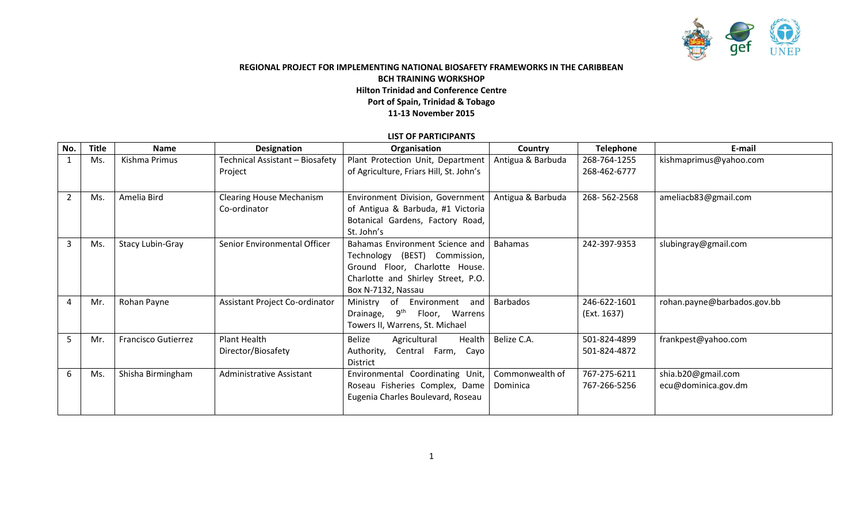

## **REGIONAL PROJECT FOR IMPLEMENTING NATIONAL BIOSAFETY FRAMEWORKS IN THE CARIBBEAN BCH TRAINING WORKSHOP Hilton Trinidad and Conference Centre Port of Spain, Trinidad & Tobago 11-13 November 2015**

## **LIST OF PARTICIPANTS**

| No.            | <b>Title</b> | <b>Name</b>                | Designation                     | Organisation                                | Country           | <b>Telephone</b> | E-mail                      |
|----------------|--------------|----------------------------|---------------------------------|---------------------------------------------|-------------------|------------------|-----------------------------|
|                | Ms.          | Kishma Primus              | Technical Assistant - Biosafety | Plant Protection Unit, Department           | Antigua & Barbuda | 268-764-1255     | kishmaprimus@yahoo.com      |
|                |              |                            | Project                         | of Agriculture, Friars Hill, St. John's     |                   | 268-462-6777     |                             |
|                |              |                            |                                 |                                             |                   |                  |                             |
| $\overline{2}$ | Ms.          | Amelia Bird                | <b>Clearing House Mechanism</b> | Environment Division, Government            | Antigua & Barbuda | 268-562-2568     | ameliacb83@gmail.com        |
|                |              |                            | Co-ordinator                    | of Antigua & Barbuda, #1 Victoria           |                   |                  |                             |
|                |              |                            |                                 | Botanical Gardens, Factory Road,            |                   |                  |                             |
|                |              |                            |                                 | St. John's                                  |                   |                  |                             |
| 3              | Ms.          | <b>Stacy Lubin-Gray</b>    | Senior Environmental Officer    | Bahamas Environment Science and             | <b>Bahamas</b>    | 242-397-9353     | slubingray@gmail.com        |
|                |              |                            |                                 | Technology (BEST) Commission,               |                   |                  |                             |
|                |              |                            |                                 | Ground Floor, Charlotte House.              |                   |                  |                             |
|                |              |                            |                                 | Charlotte and Shirley Street, P.O.          |                   |                  |                             |
|                |              |                            |                                 | Box N-7132, Nassau                          |                   |                  |                             |
| 4              | Mr.          | Rohan Payne                | Assistant Project Co-ordinator  | Ministry of Environment<br>and              | <b>Barbados</b>   | 246-622-1601     | rohan.payne@barbados.gov.bb |
|                |              |                            |                                 | $9^{\sf th}$<br>Drainage,<br>Floor, Warrens |                   | (Ext. 1637)      |                             |
|                |              |                            |                                 | Towers II, Warrens, St. Michael             |                   |                  |                             |
| 5              | Mr.          | <b>Francisco Gutierrez</b> | Plant Health                    | Belize<br>Health<br>Agricultural            | Belize C.A.       | 501-824-4899     | frankpest@yahoo.com         |
|                |              |                            | Director/Biosafety              | Authority,<br>Central Farm, Cayo            |                   | 501-824-4872     |                             |
|                |              |                            |                                 | District                                    |                   |                  |                             |
| 6              | Ms.          | Shisha Birmingham          | <b>Administrative Assistant</b> | Environmental Coordinating Unit,            | Commonwealth of   | 767-275-6211     | shia.b20@gmail.com          |
|                |              |                            |                                 | Roseau Fisheries Complex, Dame              | Dominica          | 767-266-5256     | ecu@dominica.gov.dm         |
|                |              |                            |                                 | Eugenia Charles Boulevard, Roseau           |                   |                  |                             |
|                |              |                            |                                 |                                             |                   |                  |                             |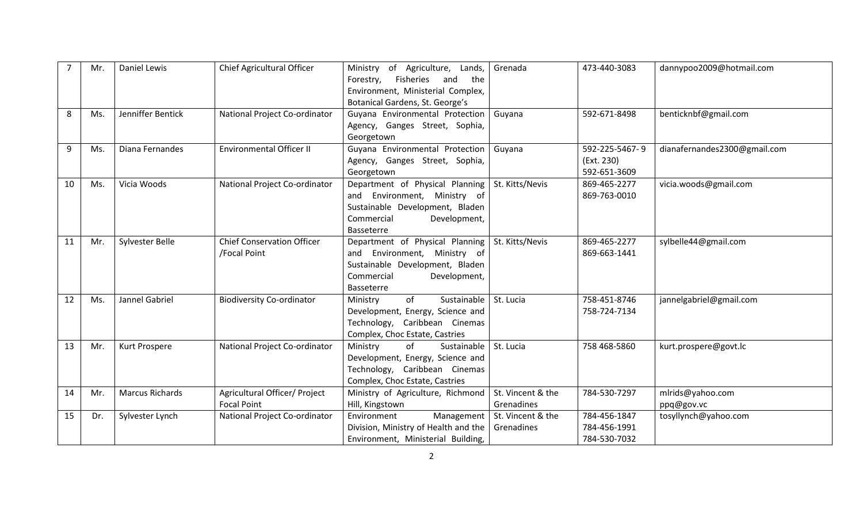|    | Mr. | <b>Daniel Lewis</b>    | Chief Agricultural Officer                          | Ministry of Agriculture, Lands,<br>Forestry, Fisheries<br>and<br>the<br>Environment, Ministerial Complex,<br>Botanical Gardens, St. George's   | Grenada                         | 473-440-3083                                 | dannypoo2009@hotmail.com       |
|----|-----|------------------------|-----------------------------------------------------|------------------------------------------------------------------------------------------------------------------------------------------------|---------------------------------|----------------------------------------------|--------------------------------|
| 8  | Ms. | Jenniffer Bentick      | National Project Co-ordinator                       | Guyana Environmental Protection<br>Agency, Ganges Street, Sophia,<br>Georgetown                                                                | Guyana                          | 592-671-8498                                 | benticknbf@gmail.com           |
| 9  | Ms. | Diana Fernandes        | <b>Environmental Officer II</b>                     | Guyana Environmental Protection<br>Agency, Ganges Street, Sophia,<br>Georgetown                                                                | Guyana                          | 592-225-5467-9<br>(Ext. 230)<br>592-651-3609 | dianafernandes2300@gmail.com   |
| 10 | Ms. | Vicia Woods            | National Project Co-ordinator                       | Department of Physical Planning<br>and Environment, Ministry of<br>Sustainable Development, Bladen<br>Commercial<br>Development,<br>Basseterre | St. Kitts/Nevis                 | 869-465-2277<br>869-763-0010                 | vicia.woods@gmail.com          |
| 11 | Mr. | Sylvester Belle        | <b>Chief Conservation Officer</b><br>/Focal Point   | Department of Physical Planning<br>and Environment, Ministry of<br>Sustainable Development, Bladen<br>Commercial<br>Development,<br>Basseterre | St. Kitts/Nevis                 | 869-465-2277<br>869-663-1441                 | sylbelle44@gmail.com           |
| 12 | Ms. | Jannel Gabriel         | <b>Biodiversity Co-ordinator</b>                    | of<br>Sustainable<br>Ministry<br>Development, Energy, Science and<br>Technology, Caribbean Cinemas<br>Complex, Choc Estate, Castries           | St. Lucia                       | 758-451-8746<br>758-724-7134                 | jannelgabriel@gmail.com        |
| 13 | Mr. | Kurt Prospere          | National Project Co-ordinator                       | of<br>Sustainable<br>Ministry<br>Development, Energy, Science and<br>Technology, Caribbean Cinemas<br>Complex, Choc Estate, Castries           | St. Lucia                       | 758 468-5860                                 | kurt.prospere@govt.lc          |
| 14 | Mr. | <b>Marcus Richards</b> | Agricultural Officer/ Project<br><b>Focal Point</b> | Ministry of Agriculture, Richmond<br>Hill, Kingstown                                                                                           | St. Vincent & the<br>Grenadines | 784-530-7297                                 | mlrids@yahoo.com<br>ppq@gov.vc |
| 15 | Dr. | Sylvester Lynch        | National Project Co-ordinator                       | Environment<br>Management<br>Division, Ministry of Health and the<br>Environment, Ministerial Building,                                        | St. Vincent & the<br>Grenadines | 784-456-1847<br>784-456-1991<br>784-530-7032 | tosyllynch@yahoo.com           |